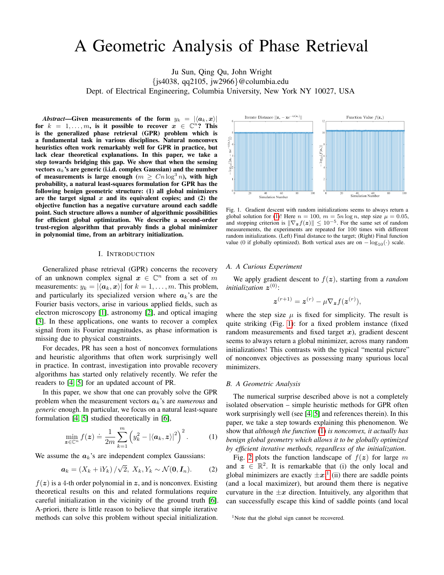# A Geometric Analysis of Phase Retrieval

Ju Sun, Qing Qu, John Wright {js4038, qq2105, jw2966}@columbia.edu Dept. of Electrical Engineering, Columbia University, New York NY 10027, USA

*Abstract*—Given measurements of the form  $y_k = |\langle a_k, x \rangle|$ for  $k = 1, ..., m$ , is it possible to recover  $x \in \mathbb{C}^n$ ? This is the generalized phase retrieval (GPR) problem which is a fundamental task in various disciplines. Natural nonconvex heuristics often work remarkably well for GPR in practice, but lack clear theoretical explanations. In this paper, we take a step towards bridging this gap. We show that when the sensing vectors  $a_k$ 's are generic (i.i.d. complex Gaussian) and the number of measurements is large enough  $(m \geq Cn \log^3 n)$ , with high probability, a natural least-squares formulation for GPR has the following benign geometric structure: (1) all global minimizers are the target signal  $x$  and its equivalent copies; and  $(2)$  the objective function has a negative curvature around each saddle point. Such structure allows a number of algorithmic possibilities for efficient global optimization. We describe a second-order trust-region algorithm that provably finds a global minimizer in polynomial time, from an arbitrary initialization.

#### I. INTRODUCTION

Generalized phase retrieval (GPR) concerns the recovery of an unknown complex signal  $x \in \mathbb{C}^n$  from a set of m measurements:  $y_k = |\langle a_k, x \rangle|$  for  $k = 1, \ldots, m$ . This problem, and particularly its specialized version where  $a_k$ 's are the Fourier basis vectors, arise in various applied fields, such as electron microscopy [\[1\]](#page-4-0), astronomy [\[2\]](#page-4-1), and optical imaging [\[3\]](#page-4-2). In these applications, one wants to recover a complex signal from its Fourier magnitudes, as phase information is missing due to physical constraints.

For decades, PR has seen a host of nonconvex formulations and heuristic algorithms that often work surprisingly well in practice. In contrast, investigation into provable recovery algorithms has started only relatively recently. We refer the readers to [\[4,](#page-4-3) [5\]](#page-4-4) for an updated account of PR.

In this paper, we show that one can provably solve the GPR problem when the measurement vectors  $a_k$ 's are *numerous* and *generic* enough. In particular, we focus on a natural least-square formulation [\[4,](#page-4-3) [5\]](#page-4-4) studied theoretically in [\[6\]](#page-4-5),

$$
\min_{\boldsymbol{z}\in\mathbb{C}^n} f(\boldsymbol{z}) \doteq \frac{1}{2m} \sum_{k=1}^m \left(y_k^2 - |\langle \boldsymbol{a}_k, \boldsymbol{z}\rangle|^2\right)^2. \tag{1}
$$

We assume the  $a_k$ 's are independent complex Gaussians:

$$
\boldsymbol{a}_k = \left(X_k + iY_k\right)/\sqrt{2}, \ X_k, Y_k \sim \mathcal{N}(\mathbf{0}, \mathbf{I}_n). \tag{2}
$$

 $f(z)$  is a 4-th order polynomial in z, and is nonconvex. Existing theoretical results on this and related formulations require careful initialization in the vicinity of the ground truth [\[6\]](#page-4-5). A-priori, there is little reason to believe that simple iterative methods can solve this problem without special initialization.



<span id="page-0-1"></span>Fig. 1. Gradient descent with random initializations seems to always return a global solution for [\(1\)](#page-0-0)! Here  $n = 100$ ,  $m = 5n \log n$ , step size  $\mu = 0.05$ , and stopping criterion is  $\|\nabla_{\mathbf{z}} f(\mathbf{z})\| \leq 10^{-5}$ . For the same set of random measurements, the experiments are repeated for 100 times with different random initializations. (Left) Final distance to the target; (Right) Final function value (0 if globally optimized). Both vertical axes are on  $-\log_{10}(\cdot)$  scale.

## *A. A Curious Experiment*

We apply gradient descent to  $f(z)$ , starting from a *random initialization* z (0):

$$
\boldsymbol{z}^{(r+1)} = \boldsymbol{z}^{(r)} - \mu \nabla_{\boldsymbol{z}} f(\boldsymbol{z}^{(r)}),
$$

where the step size  $\mu$  is fixed for simplicity. The result is quite striking (Fig. [1\)](#page-0-1): for a fixed problem instance (fixed random measurements and fixed target  $x$ ), gradient descent seems to always return a global minimizer, across many random initializations! This contrasts with the typical "mental picture" of nonconvex objectives as possessing many spurious local minimizers.

#### *B. A Geometric Analysis*

The numerical surprise described above is not a completely isolated observation – simple heuristic methods for GPR often work surprisingly well (see [\[4,](#page-4-3) [5\]](#page-4-4) and references therein). In this paper, we take a step towards explaining this phenomenon. We show that *although the function* [\(1\)](#page-0-0) *is nonconvex, it actually has benign global geometry which allows it to be globally optimized by efficient iterative methods, regardless of the initialization*.

<span id="page-0-0"></span>Fig. [2](#page-1-0) plots the function landscape of  $f(z)$  for large m and  $z \in \mathbb{R}^2$ . It is remarkable that (i) the only local and global minimizers are exactly  $\pm x$ ;<sup>[1](#page-0-2)</sup> (ii) there are saddle points (and a local maximizer), but around them there is negative curvature in the  $\pm x$  direction. Intuitively, any algorithm that can successfully escape this kind of saddle points (and local

<span id="page-0-2"></span><sup>&</sup>lt;sup>1</sup>Note that the global sign cannot be recovered.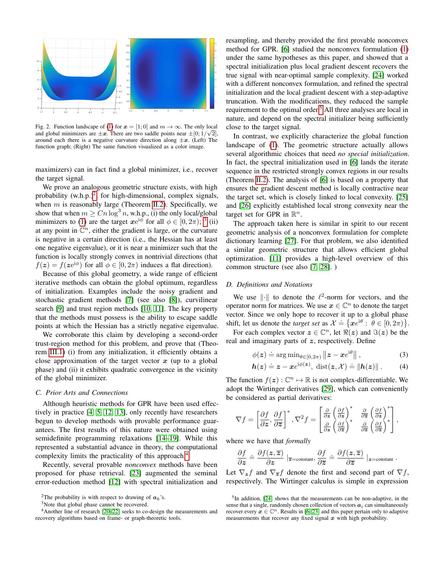

<span id="page-1-0"></span>Fig. 2. Function landscape of [\(1\)](#page-0-0) for  $x = [1, 0]$  and  $m \to \infty$ . The only local and global minimizers are  $\pm x$ . There are two saddle points near  $\pm [0;1/\sqrt{2}]$ , around each there is a negative curvature direction along  $\pm x$ . (Left) The function graph; (Right) The same function visualized as a color image.

maximizers) can in fact find a global minimizer, i.e., recover the target signal.

We prove an analogous geometric structure exists, with high probability  $(w.h.p.)^2$  $(w.h.p.)^2$ , for high-dimensional, complex signals, when  $m$  is reasonably large (Theorem [II.2\)](#page-2-0). Specifically, we show that when  $m \geq Cn \log^3 n$ , w.h.p., (i) the only local/global minimizers to [\(1\)](#page-0-0) are the target  $xe^{i\phi}$  for all  $\phi \in [0, 2\pi)$ ; <sup>[3](#page-1-2)</sup> (ii) at any point in  $\mathbb{C}^n$ , either the gradient is large, or the curvature is negative in a certain direction (i.e., the Hessian has at least one negative eigenvalue), or it is near a minimizer such that the function is locally strongly convex in nontrivial directions (that  $f(z) = f(z e^{i\phi})$  for all  $\phi \in [0, 2\pi)$  induces a flat direction).

Because of this global geometry, a wide range of efficient iterative methods can obtain the global optimum, regardless of initialization. Examples include the noisy gradient and stochastic gradient methods [\[7\]](#page-4-6) (see also [\[8\]](#page-4-7)), curvilinear search [\[9\]](#page-4-8) and trust region methods [\[10,](#page-4-9) [11\]](#page-4-10). The key property that the methods must possess is the ability to escape saddle points at which the Hessian has a strictly negative eigenvalue.

We corroborate this claim by developing a second-order trust-region method for this problem, and prove that (Theorem [III.1\)](#page-3-0) (i) from any initialization, it efficiently obtains a close approximation of the target vector  $x$  (up to a global phase) and (ii) it exhibits quadratic convergence in the vicinity of the global minimizer.

#### *C. Prior Arts and Connections*

Although heuristic methods for GPR have been used effectively in practice [\[4,](#page-4-3) [5,](#page-4-4) [12,](#page-4-11) [13\]](#page-4-12), only recently have researchers begun to develop methods with provable performance guarantees. The first results of this nature were obtained using semidefinite programming relaxations [\[14](#page-4-13)[–19\]](#page-4-14). While this represented a substantial advance in theory, the computational complexity limits the practicality of this approach.<sup>[4](#page-1-3)</sup>

Recently, several provable *nonconvex* methods have been proposed for phase retrieval. [\[23\]](#page-4-15) augmented the seminal error-reduction method [\[12\]](#page-4-11) with spectral initialization and

<span id="page-1-3"></span><span id="page-1-2"></span><sup>3</sup>Note that global phase cannot be recovered.

resampling, and thereby provided the first provable nonconvex method for GPR. [\[6\]](#page-4-5) studied the nonconvex formulation [\(1\)](#page-0-0) under the same hypotheses as this paper, and showed that a spectral initialization plus local gradient descent recovers the true signal with near-optimal sample complexity. [\[24\]](#page-4-18) worked with a different nonconvex formulation, and refined the spectral initialization and the local gradient descent with a step-adaptive truncation. With the modifications, they reduced the sample requirement to the optimal order.<sup>[5](#page-1-4)</sup> All three analyses are local in nature, and depend on the spectral initializer being sufficiently close to the target signal.

In contrast, we explicitly characterize the global function landscape of [\(1\)](#page-0-0). The geometric structure actually allows several algorithmic choices that need *no special initialization*. In fact, the spectral initialization used in [\[6\]](#page-4-5) lands the iterate sequence in the restricted strongly convex regions in our results (Theorem [II.2\)](#page-2-0). The analysis of [\[6\]](#page-4-5) is based on a property that ensures the gradient descent method is locally contractive near the target set, which is closely linked to local convexity. [\[25\]](#page-4-19) and [\[26\]](#page-4-20) explicitly established local strong convexity near the target set for GPR in  $\mathbb{R}^n$ .

The approach taken here is similar in spirit to our recent geometric analysis of a nonconvex formulation for complete dictionary learning [\[27\]](#page-4-21). For that problem, we also identified a similar geometric structure that allows efficient global optimization. [\[11\]](#page-4-10) provides a high-level overview of this common structure (see also [\[7,](#page-4-6) [28\]](#page-4-22). )

## *D. Definitions and Notations*

We use  $\|\cdot\|$  to denote the  $\ell^2$ -norm for vectors, and the operator norm for matrices. We use  $x \in \mathbb{C}^n$  to denote the target vector. Since we only hope to recover it up to a global phase shift, let us denote the *target set* as  $\mathcal{X} \doteq \{ \boldsymbol{x}e^{i\theta} : \theta \in [0, 2\pi) \}.$ 

For each complex vector  $z \in \mathbb{C}^n$ , let  $\Re(z)$  and  $\Im(z)$  be the real and imaginary parts of  $z$ , respectively. Define

<span id="page-1-5"></span>
$$
\phi(\boldsymbol{z}) \doteq \arg \min_{\theta \in [0, 2\pi)} \|\boldsymbol{z} - \boldsymbol{x} e^{\mathrm{i}\theta}\|,
$$
 (3)

$$
\boldsymbol{h}(\boldsymbol{z}) \doteq \boldsymbol{z} - \boldsymbol{x} e^{i\phi(\boldsymbol{z})}, \ \text{dist}(\boldsymbol{z}, \mathcal{X}) \doteq \|\boldsymbol{h}(\boldsymbol{z})\| \,.
$$
 (4)

The function  $f(z): \mathbb{C}^n \mapsto \mathbb{R}$  is not complex-differentiable. We adopt the Wirtinger derivatives [\[29\]](#page-4-23), which can conveniently be considered as partial derivatives:

$$
\nabla f = \left[\frac{\partial f}{\partial z}, \frac{\partial f}{\partial \overline{z}}\right]^*, \nabla^2 f = \begin{bmatrix} \frac{\partial}{\partial z} \left(\frac{\partial f}{\partial z}\right)^* & \frac{\partial}{\partial \overline{z}} \left(\frac{\partial f}{\partial z}\right)^*\\ \frac{\partial}{\partial z} \left(\frac{\partial f}{\partial \overline{z}}\right)^* & \frac{\partial}{\partial \overline{z}} \left(\frac{\partial f}{\partial \overline{z}}\right)^* \end{bmatrix},
$$

where we have that *formally*

$$
\frac{\partial f}{\partial z} = \frac{\partial f(z,\overline{z})}{\partial z} \mid_{\overline{z} = \text{constant}}, \frac{\partial f}{\partial \overline{z}} = \frac{\partial f(z,\overline{z})}{\partial \overline{z}} \mid_{z = \text{constant}}.
$$

Let  $\nabla_z f$  and  $\nabla_{\overline{z}} f$  denote the first and second part of  $\nabla f$ , respectively. The Wirtinger calculus is simple in expression

<span id="page-1-1"></span><sup>&</sup>lt;sup>2</sup>The probability is with respect to drawing of  $a_k$ 's.

<sup>4</sup>Another line of research [\[20](#page-4-16)[–22\]](#page-4-17) seeks to co-design the measurements and recovery algorithms based on frame- or graph-theoretic tools.

<span id="page-1-4"></span><sup>&</sup>lt;sup>5</sup>In addition, [\[24\]](#page-4-18) shows that the measurements can be non-adaptive, in the sense that a single, randomly chosen collection of vectors  $a_i$  can simultaneously recover every  $x \in \mathbb{C}^n$ . Results in [\[6,](#page-4-5) [23\]](#page-4-15) and this paper pertain only to adaptive measurements that recover any fixed signal  $x$  with high probability.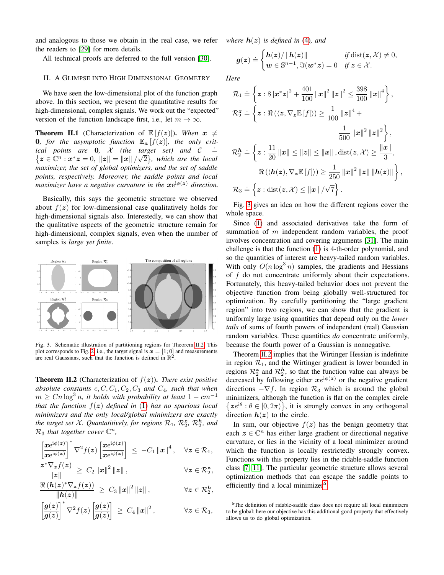and analogous to those we obtain in the real case, we refer the readers to [\[29\]](#page-4-23) for more details.

All technical proofs are deferred to the full version [\[30\]](#page-4-24).

#### <span id="page-2-3"></span>II. A GLIMPSE INTO HIGH DIMENSIONAL GEOMETRY

We have seen the low-dimensional plot of the function graph above. In this section, we present the quantitative results for high-dimensional, complex signals. We work out the "expected" version of the function landscape first, i.e., let  $m \to \infty$ .

**Theorem II.1** (Characterization of  $E[f(z)]$ ). When  $x \neq$ **0**, for the asymptotic function  $\mathbb{E}_{a} [f(z)]$ , the only crit*ical points are* 0*,* X *(the target set) and* C √  $\stackrel{.}{=}$  $\{z \in \mathbb{C}^n : x^*z = 0, \|z\| = \|x\|/\sqrt{2}\}$ , which are the local *maximizer, the set of global optimizers, and the set of saddle points, respectively. Moreover, the saddle points and local* maximizer have a negative curvature in the  $xe^{i\phi(z)}$  direction.

Basically, this says the geometric structure we observed about  $f(z)$  for low-dimensional case qualitatively holds for high-dimensional signals also. Interestedly, we can show that the qualitative aspects of the geometric structure remain for high-dimensional, complex signals, even when the number of samples is *large yet finite*.



<span id="page-2-1"></span>Fig. 3. Schematic illustration of partitioning regions for Theorem [II.2.](#page-2-0) This plot corresponds to Fig. [2,](#page-1-0) i.e., the target signal is  $\mathbf{x} = [1; 0]$  and measurements are real Gaussians, such that the function is defined in  $\mathbb{R}^2$ .

<span id="page-2-0"></span>**Theorem II.2** (Characterization of  $f(z)$ ). *There exist positive absolute constants*  $c, C, C_1, C_2, C_3$  *and*  $C_4$ *, such that when*  $m \geq C n \log^3 n$ , it holds with probability at least  $1 - cm^{-1}$ *that the function* f(z) *defined in* [\(1\)](#page-0-0) *has no spurious local minimizers and the only local/global minimizers are exactly the target set X. Quantatitively, for regions*  $\mathcal{R}_1$ *,*  $\mathcal{R}_2^{\boldsymbol{z}}$ *,*  $\mathcal{R}_2^{\boldsymbol{h}}$ *, and*  $\mathcal{R}_3$  *that together cover*  $\mathbb{C}^n$ *,* 

$$
\left[\frac{xe^{i\phi(z)}}{xe^{i\phi(z)}}\right]^* \nabla^2 f(z) \left[\frac{xe^{i\phi(z)}}{xe^{i\phi(z)}}\right] \leq -C_1 ||x||^4, \quad \forall z \in \mathcal{R}_1,
$$

$$
\frac{z^*\nabla_{\boldsymbol{z}}f(\boldsymbol{z})}{\|\boldsymbol{z}\|} \,\geq\, C_2\left\|\boldsymbol{x}\right\|^2\|\boldsymbol{z}\| \,,\qquad \qquad \forall \boldsymbol{z}\in\mathcal{R}_2^{\boldsymbol{z}},
$$

$$
\frac{\Re(h(z)^*\nabla_z f(z))}{\|h(z)\|} \geq C_3 \|x\|^2 \|z\|, \qquad \forall z \in \mathcal{R}_2^h,
$$

$$
\left[\frac{g(z)}{g(z)}\right]^* \nabla^2 f(z) \left[\frac{g(z)}{g(z)}\right] \geq C_4 \left\|x\right\|^2, \qquad \forall z \in \mathcal{R}_3,
$$

*where*  $h(z)$  *is defined in* [\(4\)](#page-1-5)*, and* 

$$
g(z) \doteq \begin{cases} h(z)/\left\|h(z)\right\| & \text{if } \operatorname{dist}(z, \mathcal{X}) \neq 0, \\ w \in \mathbb{S}^{n-1}, \Im(w^*z) = 0 & \text{if } z \in \mathcal{X}. \end{cases}
$$

*Here*

$$
\mathcal{R}_1 \doteq \left\{ \boldsymbol{z} : 8 \left| \boldsymbol{x}^* \boldsymbol{z} \right|^2 + \frac{401}{100} \left\| \boldsymbol{x} \right\|^2 \left\| \boldsymbol{z} \right\|^2 \le \frac{398}{100} \left\| \boldsymbol{x} \right\|^4 \right\},
$$
\n
$$
\mathcal{R}_2^{\boldsymbol{z}} \doteq \left\{ \boldsymbol{z} : \Re \left( \left\langle \boldsymbol{z}, \nabla_{\boldsymbol{z}} \mathbb{E} \left[ f \right] \right\rangle \right) \ge \frac{1}{100} \left\| \boldsymbol{z} \right\|^4 + \frac{1}{500} \left\| \boldsymbol{x} \right\|^2 \left\| \boldsymbol{z} \right\|^2 \right\},
$$
\n
$$
\mathcal{R}_2^{\boldsymbol{h}} \doteq \left\{ \boldsymbol{z} : \frac{11}{20} \left\| \boldsymbol{x} \right\| \le \left\| \boldsymbol{z} \right\| \le \left\| \boldsymbol{x} \right\|, \text{dist}(\boldsymbol{z}, \mathcal{X}) \ge \frac{\left\| \boldsymbol{x} \right\|}{3},
$$
\n
$$
\Re \left( \left\langle \boldsymbol{h}(\boldsymbol{z}), \nabla_{\boldsymbol{z}} \mathbb{E} \left[ f \right] \right\rangle \right) \ge \frac{1}{250} \left\| \boldsymbol{x} \right\|^2 \left\| \boldsymbol{z} \right\| \left\| \boldsymbol{h}(\boldsymbol{z}) \right\| \right\},
$$
\n
$$
\mathcal{R}_3 \doteq \left\{ \boldsymbol{z} : \text{dist}(\boldsymbol{z}, \mathcal{X}) \le \left\| \boldsymbol{x} \right\| / \sqrt{7} \right\}.
$$

Fig. [3](#page-2-1) gives an idea on how the different regions cover the whole space.

Since [\(1\)](#page-0-0) and associated derivatives take the form of summation of  $m$  independent random variables, the proof involves concentration and covering arguments [\[31\]](#page-4-25). The main challenge is that the function [\(1\)](#page-0-0) is 4-th-order polynomial, and so the quantities of interest are heavy-tailed random variables. With only  $O(n \log^3 n)$  samples, the gradients and Hessians of  $f$  do not concentrate uniformly about their expectations. Fortunately, this heavy-tailed behavior does not prevent the objective function from being globally well-structured for optimization. By carefully partitioning the "large gradient region" into two regions, we can show that the gradient is uniformly large using quantities that depend only on the *lower tails* of sums of fourth powers of independent (real) Gaussian random variables. These quantities *do* concentrate uniformly, because the fourth power of a Gaussian is nonnegative.

Theorem [II.2](#page-2-0) implies that the Wirtinger Hessian is indefinite in region  $\mathcal{R}_1$ , and the Wirtinger gradient is lower bounded in regions  $\mathcal{R}_2^{\mathbf{z}}$  and  $\mathcal{R}_2^{\mathbf{h}}$ , so that the function value can always be decreased by following either  $xe^{i\phi(z)}$  or the negative gradient directions  $-\nabla f$ . In region  $\mathcal{R}_3$  which is around the global minimizers, although the function is flat on the complex circle  $\{ze^{i\theta} : \theta \in [0, 2\pi)\}\$ , it is strongly convex in any orthogonal direction  $h(z)$  to the circle.

In sum, our objective  $f(z)$  has the benign geometry that each  $z \in \mathbb{C}^n$  has either large gradient or directional negative curvature, or lies in the vicinity of a local minimizer around which the function is locally restrictedly strongly convex. Functions with this property lies in the ridable-saddle function class [\[7,](#page-4-6) [11\]](#page-4-10). The particular geometric structure allows several optimization methods that can escape the saddle points to efficiently find a local minimizer<sup>[6](#page-2-2)</sup>.

<span id="page-2-2"></span><sup>&</sup>lt;sup>6</sup>The definition of ridable-saddle class does not require all local minimizers to be global; here our objective has this additional good property that effectively allows us to do global optimization.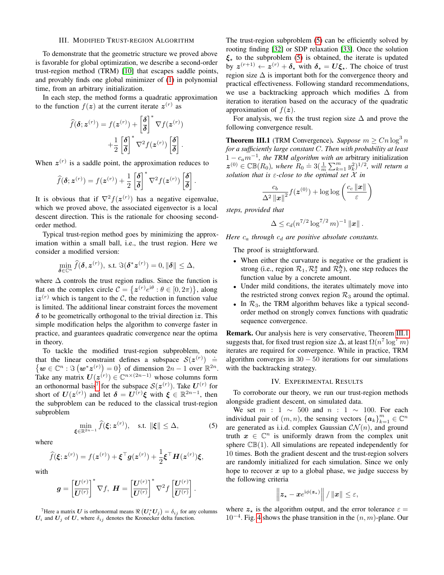## III. MODIFIED TRUST-REGION ALGORITHM

To demonstrate that the geometric structure we proved above is favorable for global optimization, we describe a second-order trust-region method (TRM) [\[10\]](#page-4-9) that escapes saddle points, and provably finds one global minimizer of [\(1\)](#page-0-0) in polynomial time, from an arbitrary initialization.

In each step, the method forms a quadratic approximation to the function  $f(z)$  at the current iterate  $z^{(r)}$  as

$$
\widehat{f}(\boldsymbol{\delta};\boldsymbol{z}^{(r)}) = f(\boldsymbol{z}^{(r)}) + \left[\frac{\boldsymbol{\delta}}{\boldsymbol{\delta}}\right]^* \nabla f(\boldsymbol{z}^{(r)}) \n+ \frac{1}{2} \left[\frac{\boldsymbol{\delta}}{\boldsymbol{\delta}}\right]^* \nabla^2 f(\boldsymbol{z}^{(r)}) \left[\frac{\boldsymbol{\delta}}{\boldsymbol{\delta}}\right].
$$

When  $z^{(r)}$  is a saddle point, the approximation reduces to

$$
\widehat{f}(\boldsymbol{\delta};\boldsymbol{z}^{(r)}) = f(\boldsymbol{z}^{(r)}) + \frac{1}{2} \left[\frac{\boldsymbol{\delta}}{\boldsymbol{\delta}}\right]^* \nabla^2 f(\boldsymbol{z}^{(r)}) \left[\frac{\boldsymbol{\delta}}{\boldsymbol{\delta}}\right].
$$

It is obvious that if  $\nabla^2 f(z^{(r)})$  has a negative eigenvalue, which we proved above, the associated eigenvector is a local descent direction. This is the rationale for choosing secondorder method.

Typical trust-region method goes by minimizing the approximation within a small ball, i.e., the trust region. Here we consider a modified version:

$$
\min_{\boldsymbol{\delta}\in\mathbb{C}^n} \widehat{f}(\boldsymbol{\delta},\boldsymbol{z}^{(r)}), \text{ s.t. } \Im(\boldsymbol{\delta}^*\boldsymbol{z}^{(r)})=0, \|\boldsymbol{\delta}\|\leq \Delta,
$$

where  $\Delta$  controls the trust region radius. Since the function is flat on the complex circle  $C = \{z^{(r)}e^{i\theta} : \theta \in [0, 2\pi)\}\$ , along  $iz<sup>(r)</sup>$  which is tangent to the C, the reduction in function value is limited. The additional linear constraint forces the movement  $\delta$  to be geometrically orthogonal to the trivial direction iz. This simple modification helps the algorithm to converge faster in practice, and guarantees quadratic convergence near the optima in theory.

To tackle the modified trust-region subproblem, note that the linear constraint defines a subspace  $S(z^{(r)}) \doteq$  $\{w \in \mathbb{C}^n : \Im(w^*z^{(r)}) = 0\}$  of dimension  $2n - 1$  over  $\mathbb{R}^{2n}$ . Take any matrix  $U(z^{(r)}) \in \mathbb{C}^{n \times (2n-1)}$  whose columns form an orthonormal basis<sup>[7](#page-3-1)</sup> for the subspace  $\mathcal{S}(z^{(r)})$ . Take  $U^{(r)}$  for short of  $U(z^{(r)})$  and let  $\delta = U^{(r)}\xi$  with  $\xi \in \mathbb{R}^{2n-1}$ , then the subproblem can be reduced to the classical trust-region subproblem

$$
\min_{\boldsymbol{\xi} \in \mathbb{R}^{2n-1}} \widehat{f}(\boldsymbol{\xi}; \boldsymbol{z}^{(r)}), \quad \text{s.t. } \|\boldsymbol{\xi}\| \leq \Delta,\tag{5}
$$

where

$$
\widehat{f}(\boldsymbol{\xi};\boldsymbol{z}^{(r)})=f(\boldsymbol{z}^{(r)})+\boldsymbol{\xi}^{\top}\boldsymbol{g}(\boldsymbol{z}^{(r)})+\frac{1}{2}\boldsymbol{\xi}^{\top}\boldsymbol{H}(\boldsymbol{z}^{(r)})\boldsymbol{\xi},
$$

with

$$
\boldsymbol{g} = \left[\frac{\boldsymbol{U}^{(r)}}{\boldsymbol{U}^{(r)}}\right]^* \nabla f, \ \boldsymbol{H} = \left[\frac{\boldsymbol{U}^{(r)}}{\boldsymbol{U}^{(r)}}\right]^* \nabla^2 f \left[\frac{\boldsymbol{U}^{(r)}}{\boldsymbol{U}^{(r)}}\right].
$$

<span id="page-3-1"></span><sup>7</sup>Here a matrix  $\boldsymbol{U}$  is orthonormal means  $\Re\left(\boldsymbol{U}_i^*\boldsymbol{U}_j\right)=\delta_{ij}$  for any columns  $U_i$  and  $U_j$  of U, where  $\delta_{ij}$  denotes the Kronecker delta function.

The trust-region subproblem [\(5\)](#page-3-2) can be efficiently solved by rooting finding [\[32\]](#page-4-26) or SDP relaxation [\[33\]](#page-4-27). Once the solution  $\xi_{\star}$  to the subproblem [\(5\)](#page-3-2) is obtained, the iterate is updated by  $z^{(r+1)} \leftarrow z^{(r)} + \delta_{\star}$  with  $\delta_{\star} = U \xi_{\star}$ . The choice of trust region size  $\Delta$  is important both for the convergence theory and practical effectiveness. Following standard recommendations, we use a backtracking approach which modifies ∆ from iteration to iteration based on the accuracy of the quadratic approximation of  $f(z)$ .

For analysis, we fix the trust region size  $\Delta$  and prove the following convergence result.

<span id="page-3-0"></span>**Theorem III.1** (TRM Convergence). *Suppose*  $m \geq Cn \log^3 n$ *for a sufficiently large constant* C*. Then with probability at least*  $1 - c_a m^{-1}$ , the TRM algorithm with an arbitrary initialization  $z^{(0)} \in \mathbb{CB}(R_0)$ *, where*  $R_0 \doteq 3(\frac{1}{m}\sum_{k=1}^m y_k^2)^{1/2}$ *, will return a solution that is* ε*-close to the optimal set* X *in*

$$
\frac{c_b}{\Delta^2\left\Vert \boldsymbol{x}\right\Vert^2}f(\boldsymbol{z}^{(0)})+\log\log\left(\frac{c_c\left\Vert \boldsymbol{x}\right\Vert }{\varepsilon}\right)
$$

*steps, provided that*

$$
\Delta \leq c_d (n^{7/2} \log^{7/2} m)^{-1} ||x||.
$$

*Here*  $c_a$  *through*  $c_d$  *are positive absolute constants.* 

The proof is straightforward.

- When either the curvature is negative or the gradient is strong (i.e., region  $\mathcal{R}_1, \mathcal{R}_2^{\mathbf{z}}$  and  $\mathcal{R}_2^{\mathbf{h}}$ ), one step reduces the function value by a concrete amount.
- Under mild conditions, the iterates ultimately move into the restricted strong convex region  $\mathcal{R}_3$  around the optimal.
- In  $\mathcal{R}_3$ , the TRM algorithm behaves like a typical secondorder method on strongly convex functions with quadratic sequence convergence.

Remark. Our analysis here is very conservative, Theorem [III.1](#page-3-0) suggests that, for fixed trust region size  $\Delta$ , at least  $\Omega(n^7 \log^7 m)$ iterates are required for convergence. While in practice, TRM algorithm converges in  $30 - 50$  iterations for our simulations with the backtracking strategy.

## IV. EXPERIMENTAL RESULTS

<span id="page-3-3"></span>To corroborate our theory, we run our trust-region methods alongside gradient descent, on simulated data.

<span id="page-3-2"></span>We set  $m : 1 \sim 500$  and  $n : 1 \sim 100$ . For each individual pair of  $(m, n)$ , the sensing vectors  $\{a_k\}_{k=1}^m \in \mathbb{C}^n$ are generated as i.i.d. complex Gaussian  $\mathcal{CN}(n)$ , and ground truth  $x \in \mathbb{C}^n$  is uniformly drawn from the complex unit sphere  $\mathbb{CB}(1)$ . All simulations are repeated independently for 10 times. Both the gradient descent and the trust-region solvers are randomly initialized for each simulation. Since we only hope to recover  $x$  up to a global phase, we judge success by the following criteria

$$
\left\|\boldsymbol{z}_{\star}-\boldsymbol{x}e^{\mathrm{i}\phi(\boldsymbol{z}_{\star})}\right\|/\left\|\boldsymbol{x}\right\|\leq\varepsilon,
$$

where  $z_{\star}$  is the algorithm output, and the error tolerance  $\varepsilon =$  $10^{-4}$ . Fig. [4](#page-4-28) shows the phase transition in the  $(n, m)$ -plane. Our